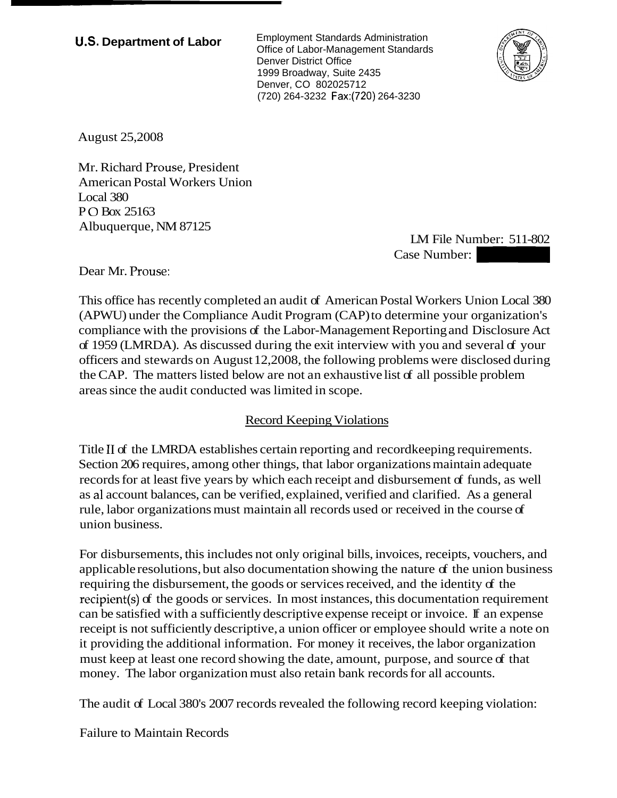**U.S. Department of Labor** Employment Standards Administration Office of Labor-Management Standards Denver District Office 1999 Broadway, Suite 2435 Denver, CO 802025712 (720) 264-3232 Fax:(720) 264-3230



August 25,2008

Mr. Richard Prouse, President American Postal Workers Union Local 380 P 0 Box 25163 Albuquerque, NM 87125

LM File Number: 511-802 tandards<br>
-3230<br>
-3230<br>
Case Number: 511-802<br>
Case Number:<br>
stal Workers Union Local 380

Dear Mr. Prouse:

This office has recently completed an audit of American Postal Workers Union Local 380 (APWU) under the Compliance Audit Program (CAP) to determine your organization's compliance with the provisions of the Labor-Management Reporting and Disclosure Act of 1959 (LMRDA). As discussed during the exit interview with you and several of your officers and stewards on August 12,2008, the following problems were disclosed during the CAP. The matters listed below are not an exhaustive list of all possible problem areas since the audit conducted was limited in scope.

## Record Keeping Violations

Title I1 of the LMRDA establishes certain reporting and recordkeeping requirements. Section 206 requires, among other things, that labor organizations maintain adequate records for at least five years by which each receipt and disbursement of funds, as well as a1 account balances, can be verified, explained, verified and clarified. As a general rule, labor organizations must maintain all records used or received in the course of union business.

For disbursements, this includes not only original bills, invoices, receipts, vouchers, and applicable resolutions, but also documentation showing the nature of the union business requiring the disbursement, the goods or services received, and the identity of the recipient(s) of the goods or services. In most instances, this documentation requirement can be satisfied with a sufficiently descriptive expense receipt or invoice. If an expense receipt is not sufficiently descriptive, a union officer or employee should write a note on it providing the additional information. For money it receives, the labor organization must keep at least one record showing the date, amount, purpose, and source of that money. The labor organization must also retain bank records for all accounts.

The audit of Local 380's 2007 records revealed the following record keeping violation:

Failure to Maintain Records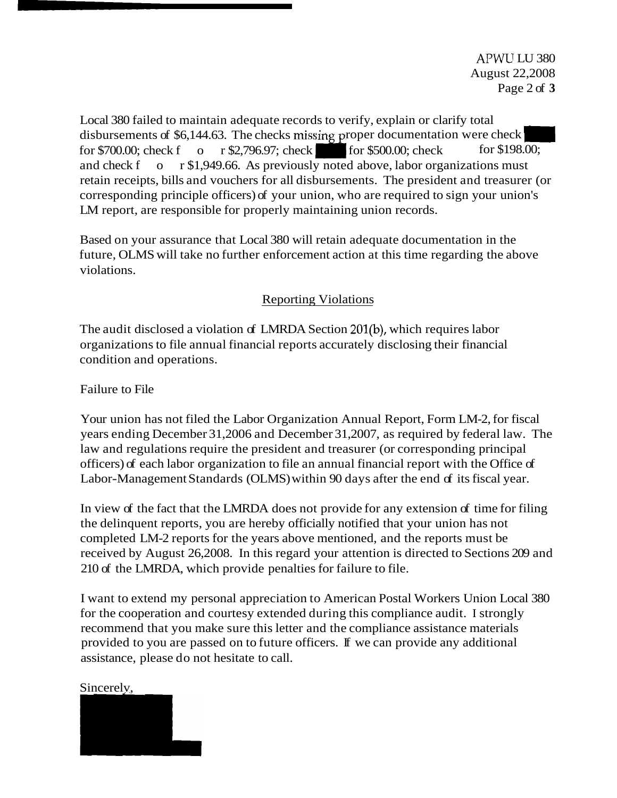Local 380 failed to maintain adequate records to verify, explain or clarify total disbursements of \$6,144.63. The checks missing proper documentation were check Local 380 failed to maintain adequate records to verify, explain or clarify total<br>disbursements of \$6,144.63. The checks missing proper documentation were check<br>for \$700.00; check for \$1,040.66. As previously noted shows l and check f<sub>o</sub> $r$ \$1,949.66. As previously noted above, labor organizations must retain receipts, bills and vouchers for all disbursements. The president and treasurer (or corresponding principle officers) of your union, who are required to sign your union's LM report, are responsible for properly maintaining union records.

Based on your assurance that Local 380 will retain adequate documentation in the future, OLMS will take no further enforcement action at this time regarding the above violations.

## Reporting Violations

The audit disclosed a violation of LMRDA Section 201(b), which requires labor organizations to file annual financial reports accurately disclosing their financial condition and operations.

Failure to File

Your union has not filed the Labor Organization Annual Report, Form LM-2, for fiscal years ending December 31,2006 and December 31,2007, as required by federal law. The law and regulations require the president and treasurer (or corresponding principal officers) of each labor organization to file an annual financial report with the Office of Labor-Management Standards (OLMS) within 90 days after the end of its fiscal year.

In view of the fact that the LMRDA does not provide for any extension of time for filing the delinquent reports, you are hereby officially notified that your union has not completed LM-2 reports for the years above mentioned, and the reports must be received by August 26,2008. In this regard your attention is directed to Sections 209 and 210 of the LMRDA, which provide penalties for failure to file.

I want to extend my personal appreciation to American Postal Workers Union Local 380 for the cooperation and courtesy extended during this compliance audit. I strongly recommend that you make sure this letter and the compliance assistance materials provided to you are passed on to future officers. If we can provide any additional assistance, please do not hesitate to call.



## Sincerelv,